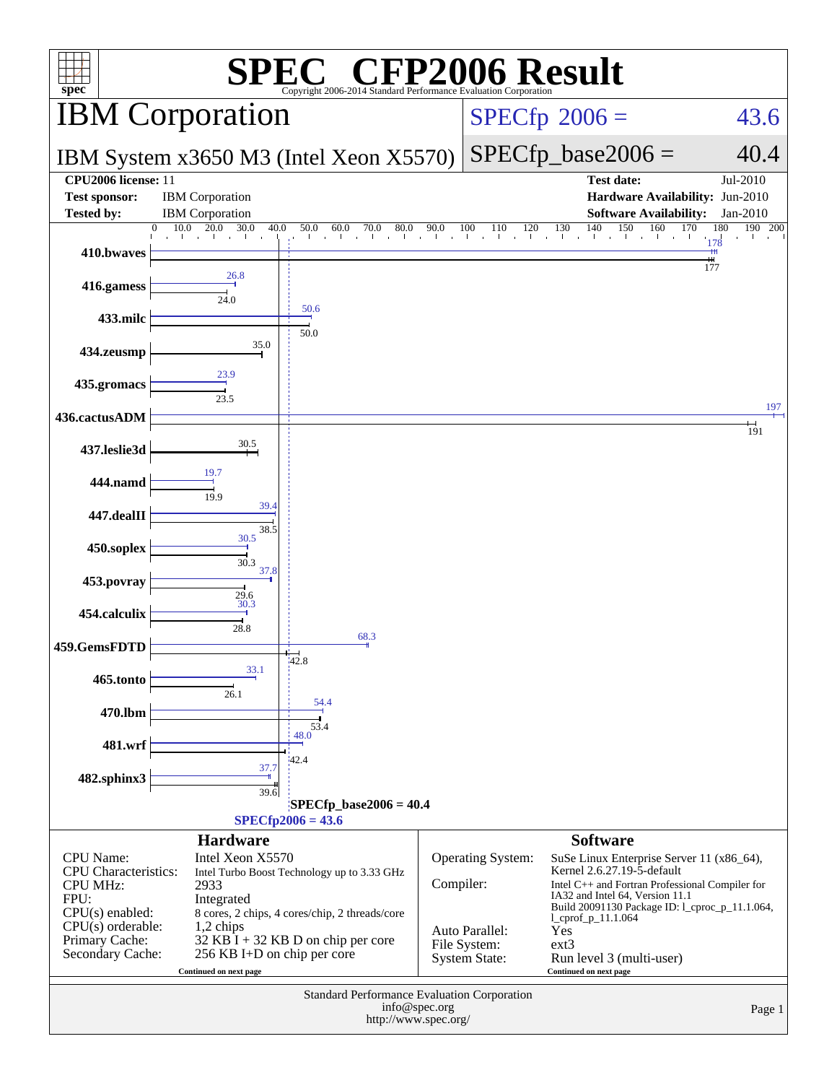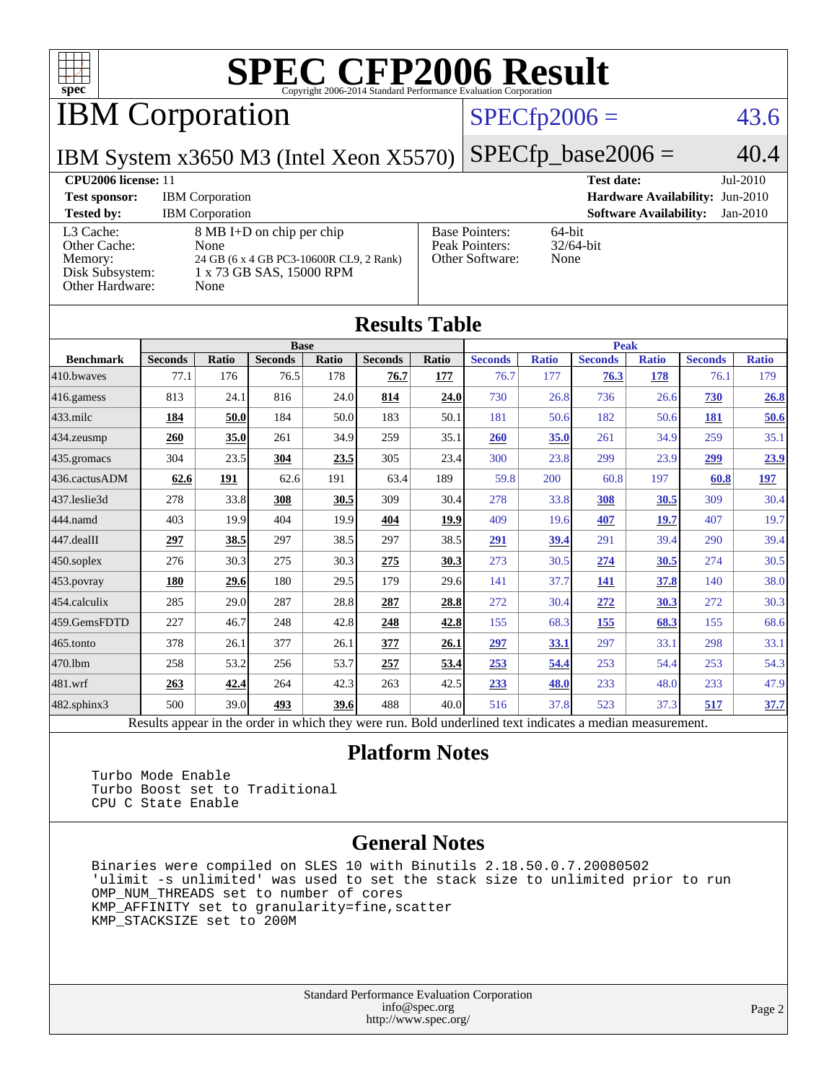

IBM Corporation

### $SPECfp2006 = 43.6$  $SPECfp2006 = 43.6$

IBM System x3650 M3 (Intel Xeon X5570)

 $SPECfp\_base2006 = 40.4$ 

| <b>CPU2006 license: 11</b>                                                 |                                                                                                                  |                                                            | $Jul-2010$<br><b>Test date:</b>             |
|----------------------------------------------------------------------------|------------------------------------------------------------------------------------------------------------------|------------------------------------------------------------|---------------------------------------------|
| <b>Test sponsor:</b>                                                       | <b>IBM</b> Corporation                                                                                           |                                                            | Hardware Availability: Jun-2010             |
| <b>Tested by:</b>                                                          | <b>IBM</b> Corporation                                                                                           |                                                            | <b>Software Availability:</b><br>$Jan-2010$ |
| L3 Cache:<br>Other Cache:<br>Memory:<br>Disk Subsystem:<br>Other Hardware: | 8 MB I+D on chip per chip<br>None<br>24 GB (6 x 4 GB PC3-10600R CL9, 2 Rank)<br>1 x 73 GB SAS, 15000 RPM<br>None | <b>Base Pointers:</b><br>Peak Pointers:<br>Other Software: | 64-bit<br>$32/64$ -bit<br>None              |

**[Results Table](http://www.spec.org/auto/cpu2006/Docs/result-fields.html#ResultsTable)**

| Results Table    |                                                                                                          |       |                |       |                |       |                |              |                |              |                |              |
|------------------|----------------------------------------------------------------------------------------------------------|-------|----------------|-------|----------------|-------|----------------|--------------|----------------|--------------|----------------|--------------|
|                  |                                                                                                          |       | <b>Base</b>    |       |                |       | <b>Peak</b>    |              |                |              |                |              |
| <b>Benchmark</b> | <b>Seconds</b>                                                                                           | Ratio | <b>Seconds</b> | Ratio | <b>Seconds</b> | Ratio | <b>Seconds</b> | <b>Ratio</b> | <b>Seconds</b> | <b>Ratio</b> | <b>Seconds</b> | <b>Ratio</b> |
| 410.bwayes       | 77.1                                                                                                     | 176   | 76.5           | 178   | 76.7           | 177   | 76.7           | 177          | 76.3           | 178          | 76.1           | 179          |
| 416.gamess       | 813                                                                                                      | 24.1  | 816            | 24.0  | 814            | 24.0  | 730            | 26.8         | 736            | 26.6         | 730            | 26.8         |
| $433$ .milc      | 184                                                                                                      | 50.0  | 184            | 50.0  | 183            | 50.1  | 181            | 50.6         | 182            | 50.6         | 181            | 50.6         |
| $434$ . zeusmp   | 260                                                                                                      | 35.0  | 261            | 34.9  | 259            | 35.1  | 260            | 35.0         | 261            | 34.9         | 259            | 35.1         |
| 435.gromacs      | 304                                                                                                      | 23.5  | 304            | 23.5  | 305            | 23.4  | 300            | 23.8         | 299            | 23.9         | 299            | 23.9         |
| 436.cactusADM    | 62.6                                                                                                     | 191   | 62.6           | 191   | 63.4           | 189   | 59.8           | 200          | 60.8           | 197          | 60.8           | 197          |
| 437.leslie3d     | 278                                                                                                      | 33.8  | 308            | 30.5  | 309            | 30.4  | 278            | 33.8         | 308            | 30.5         | 309            | 30.4         |
| 444.namd         | 403                                                                                                      | 19.9  | 404            | 19.9  | 404            | 19.9  | 409            | 19.6         | 407            | 19.7         | 407            | 19.7         |
| $447$ .dealII    | 297                                                                                                      | 38.5  | 297            | 38.5  | 297            | 38.5  | 291            | 39.4         | 291            | 39.4         | 290            | 39.4         |
| $450$ .soplex    | 276                                                                                                      | 30.3  | 275            | 30.3  | 275            | 30.3  | 273            | 30.5         | 274            | 30.5         | 274            | 30.5         |
| 453.povray       | 180                                                                                                      | 29.6  | 180            | 29.5  | 179            | 29.6  | 141            | 37.7         | 141            | 37.8         | 140            | 38.0         |
| 454.calculix     | 285                                                                                                      | 29.0  | 287            | 28.8  | 287            | 28.8  | 272            | 30.4         | 272            | 30.3         | 272            | 30.3         |
| 459.GemsFDTD     | 227                                                                                                      | 46.7  | 248            | 42.8  | 248            | 42.8  | 155            | 68.3         | 155            | 68.3         | 155            | 68.6         |
| $465$ .tonto     | 378                                                                                                      | 26.1  | 377            | 26.1  | 377            | 26.1  | 297            | 33.1         | 297            | 33.1         | 298            | 33.1         |
| 470.1bm          | 258                                                                                                      | 53.2  | 256            | 53.7  | 257            | 53.4  | 253            | 54.4         | 253            | 54.4         | 253            | 54.3         |
| 481.wrf          | 263                                                                                                      | 42.4  | 264            | 42.3  | 263            | 42.5  | 233            | 48.0         | 233            | 48.0         | 233            | 47.9         |
| 482.sphinx3      | 500                                                                                                      | 39.0  | 493            | 39.6  | 488            | 40.0  | 516            | 37.8         | 523            | 37.3         | 517            | 37.7         |
|                  | Results appear in the order in which they were run. Bold underlined text indicates a median measurement. |       |                |       |                |       |                |              |                |              |                |              |

#### **[Platform Notes](http://www.spec.org/auto/cpu2006/Docs/result-fields.html#PlatformNotes)**

 Turbo Mode Enable Turbo Boost set to Traditional CPU C State Enable

#### **[General Notes](http://www.spec.org/auto/cpu2006/Docs/result-fields.html#GeneralNotes)**

 Binaries were compiled on SLES 10 with Binutils 2.18.50.0.7.20080502 'ulimit -s unlimited' was used to set the stack size to unlimited prior to run OMP\_NUM\_THREADS set to number of cores KMP\_AFFINITY set to granularity=fine,scatter KMP\_STACKSIZE set to 200M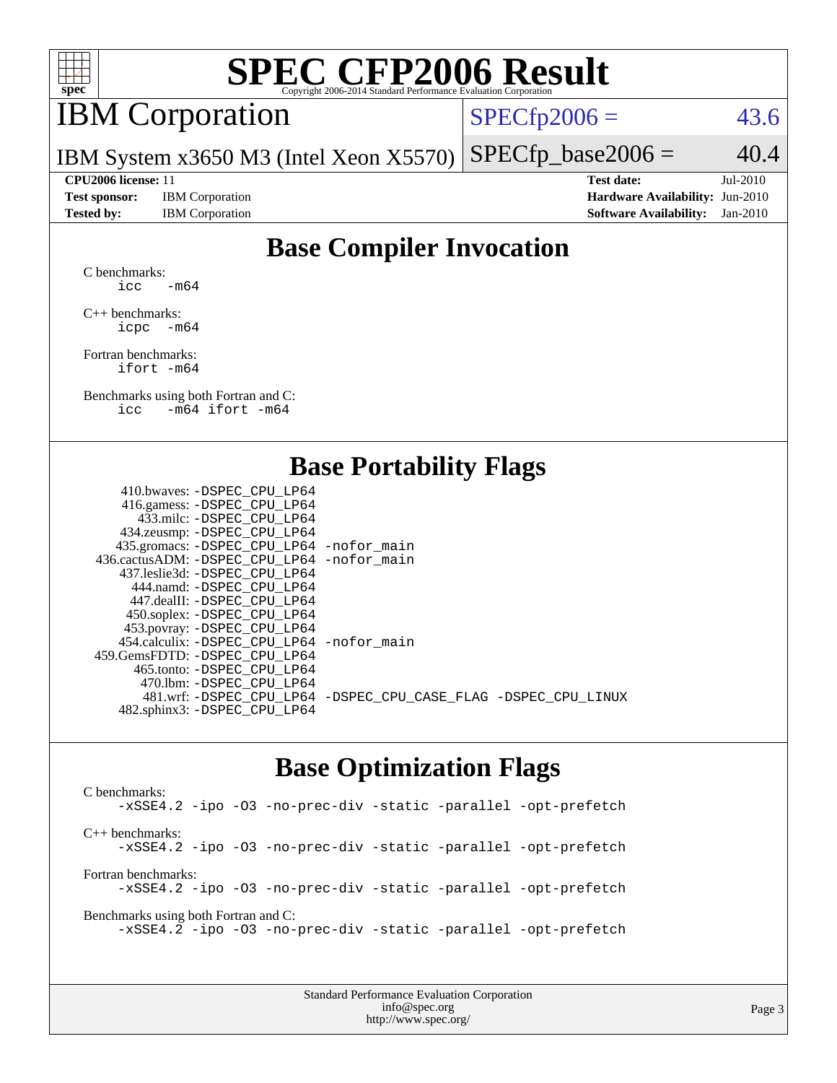

## IBM Corporation

 $SPECTp2006 = 43.6$ 

IBM System x3650 M3 (Intel Xeon X5570)  $SPECTp\_base2006 = 40.4$ 

**[Test sponsor:](http://www.spec.org/auto/cpu2006/Docs/result-fields.html#Testsponsor)** IBM Corporation **[Hardware Availability:](http://www.spec.org/auto/cpu2006/Docs/result-fields.html#HardwareAvailability)** Jun-2010

**[CPU2006 license:](http://www.spec.org/auto/cpu2006/Docs/result-fields.html#CPU2006license)** 11 **[Test date:](http://www.spec.org/auto/cpu2006/Docs/result-fields.html#Testdate)** Jul-2010 **[Tested by:](http://www.spec.org/auto/cpu2006/Docs/result-fields.html#Testedby)** IBM Corporation **[Software Availability:](http://www.spec.org/auto/cpu2006/Docs/result-fields.html#SoftwareAvailability)** Jan-2010

### **[Base Compiler Invocation](http://www.spec.org/auto/cpu2006/Docs/result-fields.html#BaseCompilerInvocation)**

[C benchmarks](http://www.spec.org/auto/cpu2006/Docs/result-fields.html#Cbenchmarks): icc  $-m64$ 

[C++ benchmarks:](http://www.spec.org/auto/cpu2006/Docs/result-fields.html#CXXbenchmarks) [icpc -m64](http://www.spec.org/cpu2006/results/res2010q3/cpu2006-20100802-12760.flags.html#user_CXXbase_intel_icpc_64bit_bedb90c1146cab66620883ef4f41a67e)

[Fortran benchmarks](http://www.spec.org/auto/cpu2006/Docs/result-fields.html#Fortranbenchmarks): [ifort -m64](http://www.spec.org/cpu2006/results/res2010q3/cpu2006-20100802-12760.flags.html#user_FCbase_intel_ifort_64bit_ee9d0fb25645d0210d97eb0527dcc06e)

[Benchmarks using both Fortran and C](http://www.spec.org/auto/cpu2006/Docs/result-fields.html#BenchmarksusingbothFortranandC): [icc -m64](http://www.spec.org/cpu2006/results/res2010q3/cpu2006-20100802-12760.flags.html#user_CC_FCbase_intel_icc_64bit_0b7121f5ab7cfabee23d88897260401c) [ifort -m64](http://www.spec.org/cpu2006/results/res2010q3/cpu2006-20100802-12760.flags.html#user_CC_FCbase_intel_ifort_64bit_ee9d0fb25645d0210d97eb0527dcc06e)

#### **[Base Portability Flags](http://www.spec.org/auto/cpu2006/Docs/result-fields.html#BasePortabilityFlags)**

| 410.bwaves: -DSPEC CPU LP64                |                                                                |
|--------------------------------------------|----------------------------------------------------------------|
| 416.gamess: -DSPEC_CPU_LP64                |                                                                |
| 433.milc: -DSPEC CPU LP64                  |                                                                |
| 434.zeusmp: -DSPEC_CPU_LP64                |                                                                |
| 435.gromacs: -DSPEC_CPU_LP64 -nofor_main   |                                                                |
| 436.cactusADM: -DSPEC CPU LP64 -nofor main |                                                                |
| 437.leslie3d: -DSPEC CPU LP64              |                                                                |
| 444.namd: - DSPEC CPU LP64                 |                                                                |
| 447.dealII: -DSPEC CPU LP64                |                                                                |
| 450.soplex: -DSPEC_CPU_LP64                |                                                                |
| 453.povray: -DSPEC_CPU_LP64                |                                                                |
| 454.calculix: -DSPEC CPU LP64 -nofor main  |                                                                |
| 459.GemsFDTD: -DSPEC CPU LP64              |                                                                |
| 465.tonto: - DSPEC CPU LP64                |                                                                |
| 470.1bm: - DSPEC_CPU LP64                  |                                                                |
|                                            | 481.wrf: -DSPEC_CPU_LP64 -DSPEC_CPU_CASE_FLAG -DSPEC_CPU_LINUX |
| 482.sphinx3: -DSPEC_CPU_LP64               |                                                                |
|                                            |                                                                |

#### **[Base Optimization Flags](http://www.spec.org/auto/cpu2006/Docs/result-fields.html#BaseOptimizationFlags)**

[C benchmarks](http://www.spec.org/auto/cpu2006/Docs/result-fields.html#Cbenchmarks): [-xSSE4.2](http://www.spec.org/cpu2006/results/res2010q3/cpu2006-20100802-12760.flags.html#user_CCbase_f-xSSE42_f91528193cf0b216347adb8b939d4107) [-ipo](http://www.spec.org/cpu2006/results/res2010q3/cpu2006-20100802-12760.flags.html#user_CCbase_f-ipo) [-O3](http://www.spec.org/cpu2006/results/res2010q3/cpu2006-20100802-12760.flags.html#user_CCbase_f-O3) [-no-prec-div](http://www.spec.org/cpu2006/results/res2010q3/cpu2006-20100802-12760.flags.html#user_CCbase_f-no-prec-div) [-static](http://www.spec.org/cpu2006/results/res2010q3/cpu2006-20100802-12760.flags.html#user_CCbase_f-static) [-parallel](http://www.spec.org/cpu2006/results/res2010q3/cpu2006-20100802-12760.flags.html#user_CCbase_f-parallel) [-opt-prefetch](http://www.spec.org/cpu2006/results/res2010q3/cpu2006-20100802-12760.flags.html#user_CCbase_f-opt-prefetch) [C++ benchmarks:](http://www.spec.org/auto/cpu2006/Docs/result-fields.html#CXXbenchmarks) [-xSSE4.2](http://www.spec.org/cpu2006/results/res2010q3/cpu2006-20100802-12760.flags.html#user_CXXbase_f-xSSE42_f91528193cf0b216347adb8b939d4107) [-ipo](http://www.spec.org/cpu2006/results/res2010q3/cpu2006-20100802-12760.flags.html#user_CXXbase_f-ipo) [-O3](http://www.spec.org/cpu2006/results/res2010q3/cpu2006-20100802-12760.flags.html#user_CXXbase_f-O3) [-no-prec-div](http://www.spec.org/cpu2006/results/res2010q3/cpu2006-20100802-12760.flags.html#user_CXXbase_f-no-prec-div) [-static](http://www.spec.org/cpu2006/results/res2010q3/cpu2006-20100802-12760.flags.html#user_CXXbase_f-static) [-parallel](http://www.spec.org/cpu2006/results/res2010q3/cpu2006-20100802-12760.flags.html#user_CXXbase_f-parallel) [-opt-prefetch](http://www.spec.org/cpu2006/results/res2010q3/cpu2006-20100802-12760.flags.html#user_CXXbase_f-opt-prefetch) [Fortran benchmarks](http://www.spec.org/auto/cpu2006/Docs/result-fields.html#Fortranbenchmarks): [-xSSE4.2](http://www.spec.org/cpu2006/results/res2010q3/cpu2006-20100802-12760.flags.html#user_FCbase_f-xSSE42_f91528193cf0b216347adb8b939d4107) [-ipo](http://www.spec.org/cpu2006/results/res2010q3/cpu2006-20100802-12760.flags.html#user_FCbase_f-ipo) [-O3](http://www.spec.org/cpu2006/results/res2010q3/cpu2006-20100802-12760.flags.html#user_FCbase_f-O3) [-no-prec-div](http://www.spec.org/cpu2006/results/res2010q3/cpu2006-20100802-12760.flags.html#user_FCbase_f-no-prec-div) [-static](http://www.spec.org/cpu2006/results/res2010q3/cpu2006-20100802-12760.flags.html#user_FCbase_f-static) [-parallel](http://www.spec.org/cpu2006/results/res2010q3/cpu2006-20100802-12760.flags.html#user_FCbase_f-parallel) [-opt-prefetch](http://www.spec.org/cpu2006/results/res2010q3/cpu2006-20100802-12760.flags.html#user_FCbase_f-opt-prefetch) [Benchmarks using both Fortran and C](http://www.spec.org/auto/cpu2006/Docs/result-fields.html#BenchmarksusingbothFortranandC): [-xSSE4.2](http://www.spec.org/cpu2006/results/res2010q3/cpu2006-20100802-12760.flags.html#user_CC_FCbase_f-xSSE42_f91528193cf0b216347adb8b939d4107) [-ipo](http://www.spec.org/cpu2006/results/res2010q3/cpu2006-20100802-12760.flags.html#user_CC_FCbase_f-ipo) [-O3](http://www.spec.org/cpu2006/results/res2010q3/cpu2006-20100802-12760.flags.html#user_CC_FCbase_f-O3) [-no-prec-div](http://www.spec.org/cpu2006/results/res2010q3/cpu2006-20100802-12760.flags.html#user_CC_FCbase_f-no-prec-div) [-static](http://www.spec.org/cpu2006/results/res2010q3/cpu2006-20100802-12760.flags.html#user_CC_FCbase_f-static) [-parallel](http://www.spec.org/cpu2006/results/res2010q3/cpu2006-20100802-12760.flags.html#user_CC_FCbase_f-parallel) [-opt-prefetch](http://www.spec.org/cpu2006/results/res2010q3/cpu2006-20100802-12760.flags.html#user_CC_FCbase_f-opt-prefetch)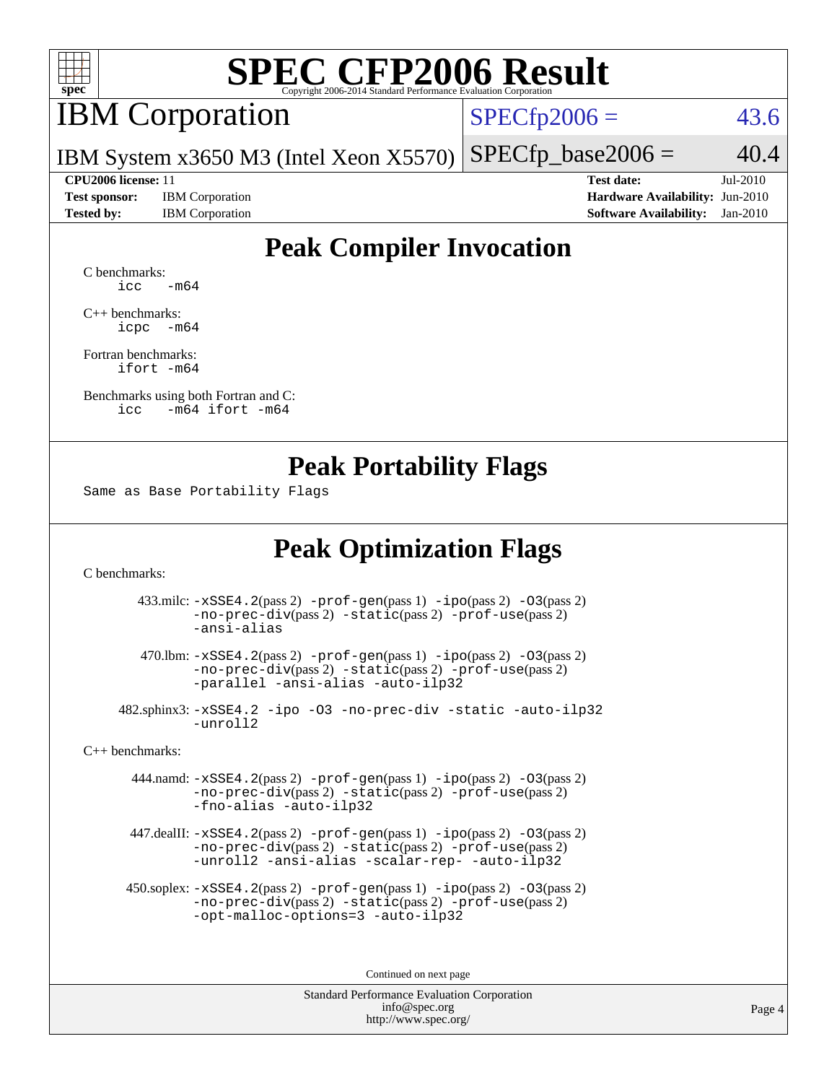

## IBM Corporation

 $SPECfp2006 = 43.6$  $SPECfp2006 = 43.6$ 

IBM System x3650 M3 (Intel Xeon X5570)  $SPECTp\_base2006 = 40.4$ 

**[Test sponsor:](http://www.spec.org/auto/cpu2006/Docs/result-fields.html#Testsponsor)** IBM Corporation **[Hardware Availability:](http://www.spec.org/auto/cpu2006/Docs/result-fields.html#HardwareAvailability)** Jun-2010

**[CPU2006 license:](http://www.spec.org/auto/cpu2006/Docs/result-fields.html#CPU2006license)** 11 **[Test date:](http://www.spec.org/auto/cpu2006/Docs/result-fields.html#Testdate)** Jul-2010 **[Tested by:](http://www.spec.org/auto/cpu2006/Docs/result-fields.html#Testedby)** IBM Corporation **[Software Availability:](http://www.spec.org/auto/cpu2006/Docs/result-fields.html#SoftwareAvailability)** Jan-2010

### **[Peak Compiler Invocation](http://www.spec.org/auto/cpu2006/Docs/result-fields.html#PeakCompilerInvocation)**

[C benchmarks](http://www.spec.org/auto/cpu2006/Docs/result-fields.html#Cbenchmarks):  $\text{icc}$   $-\text{m64}$ 

[C++ benchmarks:](http://www.spec.org/auto/cpu2006/Docs/result-fields.html#CXXbenchmarks) [icpc -m64](http://www.spec.org/cpu2006/results/res2010q3/cpu2006-20100802-12760.flags.html#user_CXXpeak_intel_icpc_64bit_bedb90c1146cab66620883ef4f41a67e)

[Fortran benchmarks](http://www.spec.org/auto/cpu2006/Docs/result-fields.html#Fortranbenchmarks): [ifort -m64](http://www.spec.org/cpu2006/results/res2010q3/cpu2006-20100802-12760.flags.html#user_FCpeak_intel_ifort_64bit_ee9d0fb25645d0210d97eb0527dcc06e)

[Benchmarks using both Fortran and C](http://www.spec.org/auto/cpu2006/Docs/result-fields.html#BenchmarksusingbothFortranandC): [icc -m64](http://www.spec.org/cpu2006/results/res2010q3/cpu2006-20100802-12760.flags.html#user_CC_FCpeak_intel_icc_64bit_0b7121f5ab7cfabee23d88897260401c) [ifort -m64](http://www.spec.org/cpu2006/results/res2010q3/cpu2006-20100802-12760.flags.html#user_CC_FCpeak_intel_ifort_64bit_ee9d0fb25645d0210d97eb0527dcc06e)

#### **[Peak Portability Flags](http://www.spec.org/auto/cpu2006/Docs/result-fields.html#PeakPortabilityFlags)**

Same as Base Portability Flags

### **[Peak Optimization Flags](http://www.spec.org/auto/cpu2006/Docs/result-fields.html#PeakOptimizationFlags)**

[C benchmarks](http://www.spec.org/auto/cpu2006/Docs/result-fields.html#Cbenchmarks):

 433.milc: [-xSSE4.2](http://www.spec.org/cpu2006/results/res2010q3/cpu2006-20100802-12760.flags.html#user_peakPASS2_CFLAGSPASS2_LDFLAGS433_milc_f-xSSE42_f91528193cf0b216347adb8b939d4107)(pass 2) [-prof-gen](http://www.spec.org/cpu2006/results/res2010q3/cpu2006-20100802-12760.flags.html#user_peakPASS1_CFLAGSPASS1_LDFLAGS433_milc_prof_gen_e43856698f6ca7b7e442dfd80e94a8fc)(pass 1) [-ipo](http://www.spec.org/cpu2006/results/res2010q3/cpu2006-20100802-12760.flags.html#user_peakPASS2_CFLAGSPASS2_LDFLAGS433_milc_f-ipo)(pass 2) [-O3](http://www.spec.org/cpu2006/results/res2010q3/cpu2006-20100802-12760.flags.html#user_peakPASS2_CFLAGSPASS2_LDFLAGS433_milc_f-O3)(pass 2) [-no-prec-div](http://www.spec.org/cpu2006/results/res2010q3/cpu2006-20100802-12760.flags.html#user_peakPASS2_CFLAGSPASS2_LDFLAGS433_milc_f-no-prec-div)(pass 2) [-static](http://www.spec.org/cpu2006/results/res2010q3/cpu2006-20100802-12760.flags.html#user_peakPASS2_CFLAGSPASS2_LDFLAGS433_milc_f-static)(pass 2) [-prof-use](http://www.spec.org/cpu2006/results/res2010q3/cpu2006-20100802-12760.flags.html#user_peakPASS2_CFLAGSPASS2_LDFLAGS433_milc_prof_use_bccf7792157ff70d64e32fe3e1250b55)(pass 2) [-ansi-alias](http://www.spec.org/cpu2006/results/res2010q3/cpu2006-20100802-12760.flags.html#user_peakOPTIMIZE433_milc_f-ansi-alias)

 470.lbm: [-xSSE4.2](http://www.spec.org/cpu2006/results/res2010q3/cpu2006-20100802-12760.flags.html#user_peakPASS2_CFLAGSPASS2_LDFLAGS470_lbm_f-xSSE42_f91528193cf0b216347adb8b939d4107)(pass 2) [-prof-gen](http://www.spec.org/cpu2006/results/res2010q3/cpu2006-20100802-12760.flags.html#user_peakPASS1_CFLAGSPASS1_LDFLAGS470_lbm_prof_gen_e43856698f6ca7b7e442dfd80e94a8fc)(pass 1) [-ipo](http://www.spec.org/cpu2006/results/res2010q3/cpu2006-20100802-12760.flags.html#user_peakPASS2_CFLAGSPASS2_LDFLAGS470_lbm_f-ipo)(pass 2) [-O3](http://www.spec.org/cpu2006/results/res2010q3/cpu2006-20100802-12760.flags.html#user_peakPASS2_CFLAGSPASS2_LDFLAGS470_lbm_f-O3)(pass 2) [-no-prec-div](http://www.spec.org/cpu2006/results/res2010q3/cpu2006-20100802-12760.flags.html#user_peakPASS2_CFLAGSPASS2_LDFLAGS470_lbm_f-no-prec-div)(pass 2) [-static](http://www.spec.org/cpu2006/results/res2010q3/cpu2006-20100802-12760.flags.html#user_peakPASS2_CFLAGSPASS2_LDFLAGS470_lbm_f-static)(pass 2) [-prof-use](http://www.spec.org/cpu2006/results/res2010q3/cpu2006-20100802-12760.flags.html#user_peakPASS2_CFLAGSPASS2_LDFLAGS470_lbm_prof_use_bccf7792157ff70d64e32fe3e1250b55)(pass 2) [-parallel](http://www.spec.org/cpu2006/results/res2010q3/cpu2006-20100802-12760.flags.html#user_peakOPTIMIZE470_lbm_f-parallel) [-ansi-alias](http://www.spec.org/cpu2006/results/res2010q3/cpu2006-20100802-12760.flags.html#user_peakOPTIMIZE470_lbm_f-ansi-alias) [-auto-ilp32](http://www.spec.org/cpu2006/results/res2010q3/cpu2006-20100802-12760.flags.html#user_peakCOPTIMIZE470_lbm_f-auto-ilp32)

 482.sphinx3: [-xSSE4.2](http://www.spec.org/cpu2006/results/res2010q3/cpu2006-20100802-12760.flags.html#user_peakOPTIMIZE482_sphinx3_f-xSSE42_f91528193cf0b216347adb8b939d4107) [-ipo](http://www.spec.org/cpu2006/results/res2010q3/cpu2006-20100802-12760.flags.html#user_peakOPTIMIZE482_sphinx3_f-ipo) [-O3](http://www.spec.org/cpu2006/results/res2010q3/cpu2006-20100802-12760.flags.html#user_peakOPTIMIZE482_sphinx3_f-O3) [-no-prec-div](http://www.spec.org/cpu2006/results/res2010q3/cpu2006-20100802-12760.flags.html#user_peakOPTIMIZE482_sphinx3_f-no-prec-div) [-static](http://www.spec.org/cpu2006/results/res2010q3/cpu2006-20100802-12760.flags.html#user_peakOPTIMIZE482_sphinx3_f-static) [-auto-ilp32](http://www.spec.org/cpu2006/results/res2010q3/cpu2006-20100802-12760.flags.html#user_peakCOPTIMIZE482_sphinx3_f-auto-ilp32) [-unroll2](http://www.spec.org/cpu2006/results/res2010q3/cpu2006-20100802-12760.flags.html#user_peakCOPTIMIZE482_sphinx3_f-unroll_784dae83bebfb236979b41d2422d7ec2)

[C++ benchmarks:](http://www.spec.org/auto/cpu2006/Docs/result-fields.html#CXXbenchmarks)

 444.namd: [-xSSE4.2](http://www.spec.org/cpu2006/results/res2010q3/cpu2006-20100802-12760.flags.html#user_peakPASS2_CXXFLAGSPASS2_LDFLAGS444_namd_f-xSSE42_f91528193cf0b216347adb8b939d4107)(pass 2) [-prof-gen](http://www.spec.org/cpu2006/results/res2010q3/cpu2006-20100802-12760.flags.html#user_peakPASS1_CXXFLAGSPASS1_LDFLAGS444_namd_prof_gen_e43856698f6ca7b7e442dfd80e94a8fc)(pass 1) [-ipo](http://www.spec.org/cpu2006/results/res2010q3/cpu2006-20100802-12760.flags.html#user_peakPASS2_CXXFLAGSPASS2_LDFLAGS444_namd_f-ipo)(pass 2) [-O3](http://www.spec.org/cpu2006/results/res2010q3/cpu2006-20100802-12760.flags.html#user_peakPASS2_CXXFLAGSPASS2_LDFLAGS444_namd_f-O3)(pass 2) [-no-prec-div](http://www.spec.org/cpu2006/results/res2010q3/cpu2006-20100802-12760.flags.html#user_peakPASS2_CXXFLAGSPASS2_LDFLAGS444_namd_f-no-prec-div)(pass 2) [-static](http://www.spec.org/cpu2006/results/res2010q3/cpu2006-20100802-12760.flags.html#user_peakPASS2_CXXFLAGSPASS2_LDFLAGS444_namd_f-static)(pass 2) [-prof-use](http://www.spec.org/cpu2006/results/res2010q3/cpu2006-20100802-12760.flags.html#user_peakPASS2_CXXFLAGSPASS2_LDFLAGS444_namd_prof_use_bccf7792157ff70d64e32fe3e1250b55)(pass 2) [-fno-alias](http://www.spec.org/cpu2006/results/res2010q3/cpu2006-20100802-12760.flags.html#user_peakOPTIMIZE444_namd_f-no-alias_694e77f6c5a51e658e82ccff53a9e63a) [-auto-ilp32](http://www.spec.org/cpu2006/results/res2010q3/cpu2006-20100802-12760.flags.html#user_peakCXXOPTIMIZE444_namd_f-auto-ilp32)

 447.dealII: [-xSSE4.2](http://www.spec.org/cpu2006/results/res2010q3/cpu2006-20100802-12760.flags.html#user_peakPASS2_CXXFLAGSPASS2_LDFLAGS447_dealII_f-xSSE42_f91528193cf0b216347adb8b939d4107)(pass 2) [-prof-gen](http://www.spec.org/cpu2006/results/res2010q3/cpu2006-20100802-12760.flags.html#user_peakPASS1_CXXFLAGSPASS1_LDFLAGS447_dealII_prof_gen_e43856698f6ca7b7e442dfd80e94a8fc)(pass 1) [-ipo](http://www.spec.org/cpu2006/results/res2010q3/cpu2006-20100802-12760.flags.html#user_peakPASS2_CXXFLAGSPASS2_LDFLAGS447_dealII_f-ipo)(pass 2) [-O3](http://www.spec.org/cpu2006/results/res2010q3/cpu2006-20100802-12760.flags.html#user_peakPASS2_CXXFLAGSPASS2_LDFLAGS447_dealII_f-O3)(pass 2) [-no-prec-div](http://www.spec.org/cpu2006/results/res2010q3/cpu2006-20100802-12760.flags.html#user_peakPASS2_CXXFLAGSPASS2_LDFLAGS447_dealII_f-no-prec-div)(pass 2) [-static](http://www.spec.org/cpu2006/results/res2010q3/cpu2006-20100802-12760.flags.html#user_peakPASS2_CXXFLAGSPASS2_LDFLAGS447_dealII_f-static)(pass 2) [-prof-use](http://www.spec.org/cpu2006/results/res2010q3/cpu2006-20100802-12760.flags.html#user_peakPASS2_CXXFLAGSPASS2_LDFLAGS447_dealII_prof_use_bccf7792157ff70d64e32fe3e1250b55)(pass 2) [-unroll2](http://www.spec.org/cpu2006/results/res2010q3/cpu2006-20100802-12760.flags.html#user_peakOPTIMIZE447_dealII_f-unroll_784dae83bebfb236979b41d2422d7ec2) [-ansi-alias](http://www.spec.org/cpu2006/results/res2010q3/cpu2006-20100802-12760.flags.html#user_peakOPTIMIZE447_dealII_f-ansi-alias) [-scalar-rep-](http://www.spec.org/cpu2006/results/res2010q3/cpu2006-20100802-12760.flags.html#user_peakOPTIMIZE447_dealII_f-disablescalarrep_abbcad04450fb118e4809c81d83c8a1d) [-auto-ilp32](http://www.spec.org/cpu2006/results/res2010q3/cpu2006-20100802-12760.flags.html#user_peakCXXOPTIMIZE447_dealII_f-auto-ilp32)

 450.soplex: [-xSSE4.2](http://www.spec.org/cpu2006/results/res2010q3/cpu2006-20100802-12760.flags.html#user_peakPASS2_CXXFLAGSPASS2_LDFLAGS450_soplex_f-xSSE42_f91528193cf0b216347adb8b939d4107)(pass 2) [-prof-gen](http://www.spec.org/cpu2006/results/res2010q3/cpu2006-20100802-12760.flags.html#user_peakPASS1_CXXFLAGSPASS1_LDFLAGS450_soplex_prof_gen_e43856698f6ca7b7e442dfd80e94a8fc)(pass 1) [-ipo](http://www.spec.org/cpu2006/results/res2010q3/cpu2006-20100802-12760.flags.html#user_peakPASS2_CXXFLAGSPASS2_LDFLAGS450_soplex_f-ipo)(pass 2) [-O3](http://www.spec.org/cpu2006/results/res2010q3/cpu2006-20100802-12760.flags.html#user_peakPASS2_CXXFLAGSPASS2_LDFLAGS450_soplex_f-O3)(pass 2) [-no-prec-div](http://www.spec.org/cpu2006/results/res2010q3/cpu2006-20100802-12760.flags.html#user_peakPASS2_CXXFLAGSPASS2_LDFLAGS450_soplex_f-no-prec-div)(pass 2) [-static](http://www.spec.org/cpu2006/results/res2010q3/cpu2006-20100802-12760.flags.html#user_peakPASS2_CXXFLAGSPASS2_LDFLAGS450_soplex_f-static)(pass 2) [-prof-use](http://www.spec.org/cpu2006/results/res2010q3/cpu2006-20100802-12760.flags.html#user_peakPASS2_CXXFLAGSPASS2_LDFLAGS450_soplex_prof_use_bccf7792157ff70d64e32fe3e1250b55)(pass 2) [-opt-malloc-options=3](http://www.spec.org/cpu2006/results/res2010q3/cpu2006-20100802-12760.flags.html#user_peakOPTIMIZE450_soplex_f-opt-malloc-options_13ab9b803cf986b4ee62f0a5998c2238) [-auto-ilp32](http://www.spec.org/cpu2006/results/res2010q3/cpu2006-20100802-12760.flags.html#user_peakCXXOPTIMIZE450_soplex_f-auto-ilp32)

Continued on next page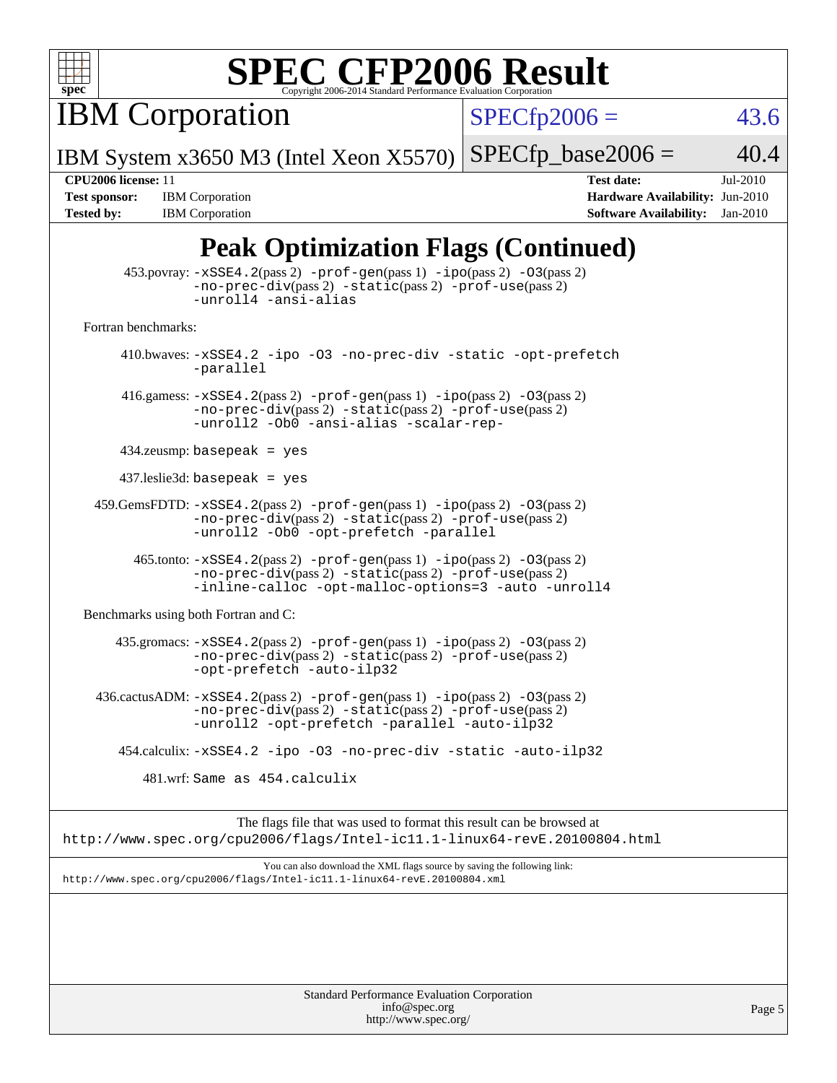

IBM Corporation

 $SPECfp2006 = 43.6$  $SPECfp2006 = 43.6$ 

IBM System x3650 M3 (Intel Xeon X5570)  $SPECfp\_base2006 = 40.4$ 

**[Tested by:](http://www.spec.org/auto/cpu2006/Docs/result-fields.html#Testedby)** IBM Corporation **[Software Availability:](http://www.spec.org/auto/cpu2006/Docs/result-fields.html#SoftwareAvailability)** Jan-2010

**[CPU2006 license:](http://www.spec.org/auto/cpu2006/Docs/result-fields.html#CPU2006license)** 11 **[Test date:](http://www.spec.org/auto/cpu2006/Docs/result-fields.html#Testdate)** Jul-2010 **[Test sponsor:](http://www.spec.org/auto/cpu2006/Docs/result-fields.html#Testsponsor)** IBM Corporation **[Hardware Availability:](http://www.spec.org/auto/cpu2006/Docs/result-fields.html#HardwareAvailability)** Jun-2010

## **[Peak Optimization Flags \(Continued\)](http://www.spec.org/auto/cpu2006/Docs/result-fields.html#PeakOptimizationFlags)**

| 453.povray: -xSSE4.2(pass 2) -prof-gen(pass 1) -ipo(pass 2) -03(pass 2)<br>$-no-prec-div(pass 2) -static(pass 2) -prof-use(pass 2)$<br>-unroll4 -ansi-alias                                        |  |
|----------------------------------------------------------------------------------------------------------------------------------------------------------------------------------------------------|--|
| Fortran benchmarks:                                                                                                                                                                                |  |
| 410.bwaves: -xSSE4.2 -ipo -03 -no-prec-div -static -opt-prefetch<br>-parallel                                                                                                                      |  |
| 416.gamess: $-xSSE4$ . 2(pass 2) $-prof-gen(pass 1) -ipo(pass 2) -O3(pass 2)$<br>-no-prec-div(pass 2) -static(pass 2) -prof-use(pass 2)<br>-unroll2 -Ob0 -ansi-alias -scalar-rep-                  |  |
| $434$ .zeusmp: basepeak = yes                                                                                                                                                                      |  |
| $437$ leslie3d: basepeak = yes                                                                                                                                                                     |  |
| 459.GemsFDTD: -xSSE4.2(pass 2) -prof-gen(pass 1) -ipo(pass 2) -03(pass 2)<br>$-no-prec-div(pass 2) -static(pass 2) -prof-use(pass 2)$<br>-unroll2 -Ob0 -opt-prefetch -parallel                     |  |
| $465$ .tonto: $-xSSE4$ . 2(pass 2) $-prof-gen(pass 1) -ipo(pass 2) -03(pass 2)$<br>$-no-prec-div(pass 2) -static(pass 2) -prof-use(pass 2)$<br>-inline-calloc -opt-malloc-options=3 -auto -unroll4 |  |
| Benchmarks using both Fortran and C:                                                                                                                                                               |  |
| $435$ .gromacs: $-xSSE4$ . 2(pass 2) $-prof-gen(pass 1) -ipo(pass 2) -03(pass 2)$<br>-no-prec-div(pass 2) -static(pass 2) -prof-use(pass 2)<br>-opt-prefetch -auto-ilp32                           |  |
| 436.cactusADM: -xSSE4.2(pass 2) -prof-gen(pass 1) -ipo(pass 2) -03(pass 2)<br>$-no-prec-div(pass 2) -static(pass 2) -prof-use(pass 2)$<br>-unroll2 -opt-prefetch -parallel -auto-ilp32             |  |
| 454.calculix: -xSSE4.2 -ipo -03 -no-prec-div -static -auto-ilp32                                                                                                                                   |  |
| 481.wrf:Same as 454.calculix                                                                                                                                                                       |  |
| The flags file that was used to format this result can be browsed at<br>http://www.spec.org/cpu2006/flags/Intel-ic11.1-linux64-revE.20100804.html                                                  |  |
| You can also download the XML flags source by saving the following link:<br>http://www.spec.org/cpu2006/flags/Intel-ic11.1-linux64-revE.20100804.xml                                               |  |
|                                                                                                                                                                                                    |  |
| Standard Performance Evaluation Cornoration                                                                                                                                                        |  |